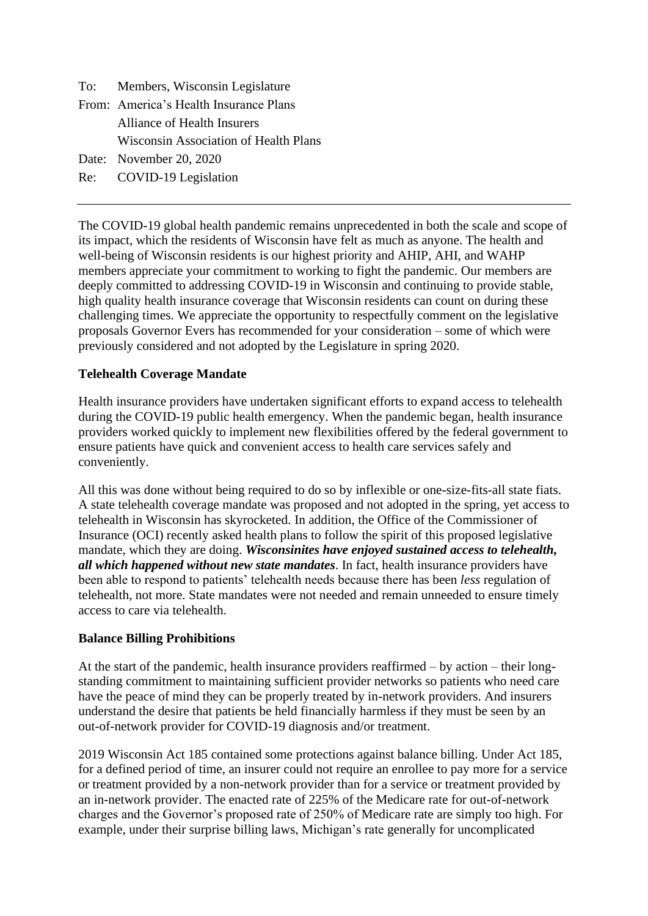| To: Members, Wisconsin Legislature           |
|----------------------------------------------|
| From: America's Health Insurance Plans       |
| Alliance of Health Insurers                  |
| <b>Wisconsin Association of Health Plans</b> |
| Date: November 20, 2020                      |
| Re: COVID-19 Legislation                     |

The COVID-19 global health pandemic remains unprecedented in both the scale and scope of its impact, which the residents of Wisconsin have felt as much as anyone. The health and well-being of Wisconsin residents is our highest priority and AHIP, AHI, and WAHP members appreciate your commitment to working to fight the pandemic. Our members are deeply committed to addressing COVID-19 in Wisconsin and continuing to provide stable, high quality health insurance coverage that Wisconsin residents can count on during these challenging times. We appreciate the opportunity to respectfully comment on the legislative proposals Governor Evers has recommended for your consideration – some of which were previously considered and not adopted by the Legislature in spring 2020.

## **Telehealth Coverage Mandate**

Health insurance providers have undertaken significant efforts to expand access to telehealth during the COVID-19 public health emergency. When the pandemic began, health insurance providers worked quickly to implement new flexibilities offered by the federal government to ensure patients have quick and convenient access to health care services safely and conveniently.

All this was done without being required to do so by inflexible or one-size-fits-all state fiats. A state telehealth coverage mandate was proposed and not adopted in the spring, yet access to telehealth in Wisconsin has skyrocketed. In addition, the Office of the Commissioner of Insurance (OCI) recently asked health plans to follow the spirit of this proposed legislative mandate, which they are doing. *Wisconsinites have enjoyed sustained access to telehealth, all which happened without new state mandates*. In fact, health insurance providers have been able to respond to patients' telehealth needs because there has been *less* regulation of telehealth, not more. State mandates were not needed and remain unneeded to ensure timely access to care via telehealth.

#### **Balance Billing Prohibitions**

At the start of the pandemic, health insurance providers reaffirmed – by action – their longstanding commitment to maintaining sufficient provider networks so patients who need care have the peace of mind they can be properly treated by in-network providers. And insurers understand the desire that patients be held financially harmless if they must be seen by an out-of-network provider for COVID-19 diagnosis and/or treatment.

2019 Wisconsin Act 185 contained some protections against balance billing. Under Act 185, for a defined period of time, an insurer could not require an enrollee to pay more for a service or treatment provided by a non-network provider than for a service or treatment provided by an in-network provider. The enacted rate of 225% of the Medicare rate for out-of-network charges and the Governor's proposed rate of 250% of Medicare rate are simply too high. For example, under their surprise billing laws, Michigan's rate generally for uncomplicated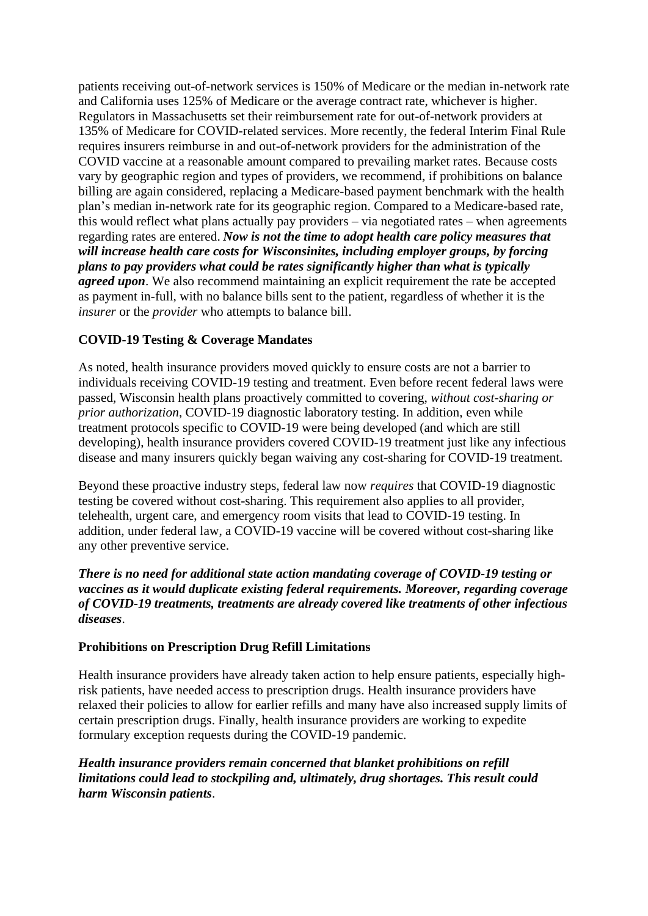patients receiving out-of-network services is 150% of Medicare or the median in-network rate and California uses 125% of Medicare or the average contract rate, whichever is higher. Regulators in Massachusetts set their reimbursement rate for out-of-network providers at 135% of Medicare for COVID-related services. More recently, the federal Interim Final Rule requires insurers reimburse in and out-of-network providers for the administration of the COVID vaccine at a reasonable amount compared to prevailing market rates. Because costs vary by geographic region and types of providers, we recommend, if prohibitions on balance billing are again considered, replacing a Medicare-based payment benchmark with the health plan's median in-network rate for its geographic region. Compared to a Medicare-based rate, this would reflect what plans actually pay providers – via negotiated rates – when agreements regarding rates are entered. *Now is not the time to adopt health care policy measures that will increase health care costs for Wisconsinites, including employer groups, by forcing plans to pay providers what could be rates significantly higher than what is typically agreed upon*. We also recommend maintaining an explicit requirement the rate be accepted as payment in-full, with no balance bills sent to the patient, regardless of whether it is the *insurer* or the *provider* who attempts to balance bill.

# **COVID-19 Testing & Coverage Mandates**

As noted, health insurance providers moved quickly to ensure costs are not a barrier to individuals receiving COVID-19 testing and treatment. Even before recent federal laws were passed, Wisconsin health plans proactively committed to covering, *without cost-sharing or prior authorization*, COVID-19 diagnostic laboratory testing. In addition, even while treatment protocols specific to COVID-19 were being developed (and which are still developing), health insurance providers covered COVID-19 treatment just like any infectious disease and many insurers quickly began waiving any cost-sharing for COVID-19 treatment.

Beyond these proactive industry steps, federal law now *requires* that COVID-19 diagnostic testing be covered without cost-sharing. This requirement also applies to all provider, telehealth, urgent care, and emergency room visits that lead to COVID-19 testing. In addition, under federal law, a COVID-19 vaccine will be covered without cost-sharing like any other preventive service.

### *There is no need for additional state action mandating coverage of COVID-19 testing or vaccines as it would duplicate existing federal requirements. Moreover, regarding coverage of COVID-19 treatments, treatments are already covered like treatments of other infectious diseases*.

## **Prohibitions on Prescription Drug Refill Limitations**

Health insurance providers have already taken action to help ensure patients, especially highrisk patients, have needed access to prescription drugs. Health insurance providers have relaxed their policies to allow for earlier refills and many have also increased supply limits of certain prescription drugs. Finally, health insurance providers are working to expedite formulary exception requests during the COVID-19 pandemic.

## *Health insurance providers remain concerned that blanket prohibitions on refill limitations could lead to stockpiling and, ultimately, drug shortages. This result could harm Wisconsin patients*.